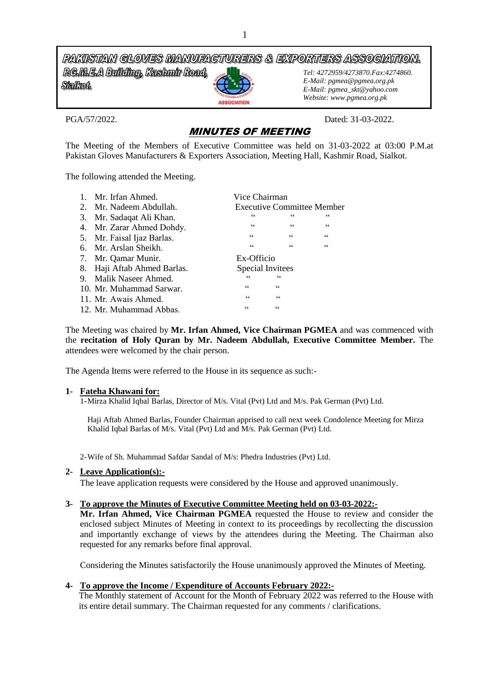PAKISTAN GLOVES MANUFACTURERS & EXPORTERS ASSOCIATION. **RG.M.E.A Building, Kashmir Road,** *Tel: 4272959/4273870.Fax:4274860.* **Stalkot** 

**ASSOCIATION** 

*E-Mail: pgmea@pgmea.org.pk E-Mail: pgmea\_skt@yahoo.com Website: www.pgmea.org.pk*

PGA/57/2022. Dated: 31-03-2022.

# MINUTES OF MEETING

The Meeting of the Members of Executive Committee was held on 31-03-2022 at 03:00 P.M.at Pakistan Gloves Manufacturers & Exporters Association, Meeting Hall, Kashmir Road, Sialkot.

The following attended the Meeting.

| $\mathbf{1}$ . | Mr. Irfan Ahmed.           | Vice Chairman           |                                   |                  |  |
|----------------|----------------------------|-------------------------|-----------------------------------|------------------|--|
|                | 2. Mr. Nadeem Abdullah.    |                         | <b>Executive Committee Member</b> |                  |  |
|                | 3. Mr. Sadaqat Ali Khan.   | 66                      | 66                                | 66               |  |
|                | 4. Mr. Zarar Ahmed Dohdy.  | 66                      | 66                                | $\zeta\,\zeta$   |  |
|                | 5. Mr. Faisal Ijaz Barlas. | 66                      | $\zeta\,\zeta$                    | $\zeta\,\zeta$   |  |
|                | 6. Mr. Arslan Sheikh.      | $\mbox{\bf 6}$          | $\mbox{\bf 6}$                    | $\zeta \, \zeta$ |  |
|                | 7. Mr. Qamar Munir.        | Ex-Officio              |                                   |                  |  |
| 8.             | Haji Aftab Ahmed Barlas.   | Special Invitees        |                                   |                  |  |
|                | 9. Malik Naseer Ahmed.     | 66                      | 66                                |                  |  |
|                | 10. Mr. Muhammad Sarwar.   | $\zeta\,\zeta$          | $\subseteq$ $\subseteq$           |                  |  |
|                | 11. Mr. Awais Ahmed.       | $\subseteq$ $\subseteq$ | $\zeta\,\zeta$                    |                  |  |
|                | 12. Mr. Muhammad Abbas.    | 66                      | $\zeta$ $\zeta$                   |                  |  |

The Meeting was chaired by **Mr. Irfan Ahmed, Vice Chairman PGMEA** and was commenced with the **recitation of Holy Quran by Mr. Nadeem Abdullah, Executive Committee Member.** The attendees were welcomed by the chair person.

The Agenda Items were referred to the House in its sequence as such:-

## **1- Fateha Khawani for:**

1-Mirza Khalid Iqbal Barlas, Director of M/s. Vital (Pvt) Ltd and M/s. Pak German (Pvt) Ltd.

Haji Aftab Ahmed Barlas, Founder Chairman apprised to call next week Condolence Meeting for Mirza Khalid Iqbal Barlas of M/s. Vital (Pvt) Ltd and M/s. Pak German (Pvt) Ltd.

2-Wife of Sh. Muhammad Safdar Sandal of M/s: Phedra Industries (Pvt) Ltd.

## **2- Leave Application(s):-**

The leave application requests were considered by the House and approved unanimously.

#### **3- To approve the Minutes of Executive Committee Meeting held on 03-03-2022:-**

**Mr. Irfan Ahmed, Vice Chairman PGMEA** requested the House to review and consider the enclosed subject Minutes of Meeting in context to its proceedings by recollecting the discussion and importantly exchange of views by the attendees during the Meeting. The Chairman also requested for any remarks before final approval.

Considering the Minutes satisfactorily the House unanimously approved the Minutes of Meeting.

## **4- To approve the Income / Expenditure of Accounts February 2022:-**

The Monthly statement of Account for the Month of February 2022 was referred to the House with its entire detail summary. The Chairman requested for any comments / clarifications.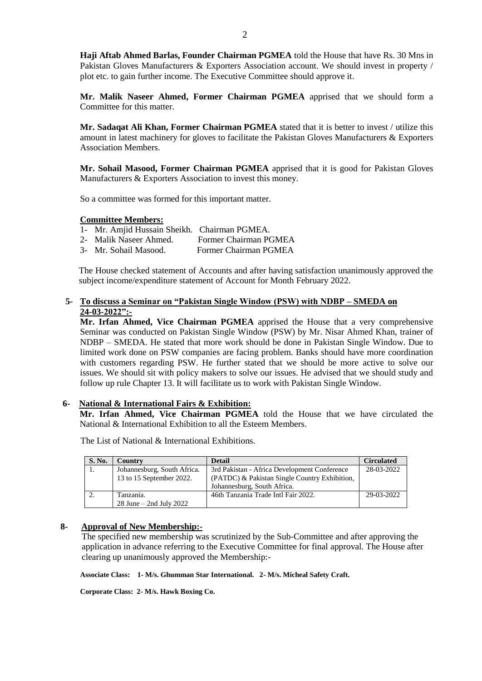**Haji Aftab Ahmed Barlas, Founder Chairman PGMEA** told the House that have Rs. 30 Mns in Pakistan Gloves Manufacturers & Exporters Association account. We should invest in property / plot etc. to gain further income. The Executive Committee should approve it.

**Mr. Malik Naseer Ahmed, Former Chairman PGMEA** apprised that we should form a Committee for this matter.

**Mr. Sadaqat Ali Khan, Former Chairman PGMEA** stated that it is better to invest / utilize this amount in latest machinery for gloves to facilitate the Pakistan Gloves Manufacturers & Exporters Association Members.

**Mr. Sohail Masood, Former Chairman PGMEA** apprised that it is good for Pakistan Gloves Manufacturers & Exporters Association to invest this money.

So a committee was formed for this important matter.

## **Committee Members:**

- 1- Mr. Amjid Hussain Sheikh. Chairman PGMEA.
- 2- Malik Naseer Ahmed. Former Chairman PGMEA
- 3- Mr. Sohail Masood. Former Chairman PGMEA

The House checked statement of Accounts and after having satisfaction unanimously approved the subject income/expenditure statement of Account for Month February 2022.

## **5- To discuss a Seminar on "Pakistan Single Window (PSW) with NDBP – SMEDA on 24-03-2022":-**

**Mr. Irfan Ahmed, Vice Chairman PGMEA** apprised the House that a very comprehensive Seminar was conducted on Pakistan Single Window (PSW) by Mr. Nisar Ahmed Khan, trainer of NDBP – SMEDA. He stated that more work should be done in Pakistan Single Window. Due to limited work done on PSW companies are facing problem. Banks should have more coordination with customers regarding PSW. He further stated that we should be more active to solve our issues. We should sit with policy makers to solve our issues. He advised that we should study and follow up rule Chapter 13. It will facilitate us to work with Pakistan Single Window.

#### **6- National & International Fairs & Exhibition:**

**Mr. Irfan Ahmed, Vice Chairman PGMEA** told the House that we have circulated the National & International Exhibition to all the Esteem Members.

| S. No. | Country                     | <b>Detail</b>                                 | <b>Circulated</b> |
|--------|-----------------------------|-----------------------------------------------|-------------------|
|        | Johannesburg, South Africa. | 3rd Pakistan - Africa Development Conference  | 28-03-2022        |
|        | 13 to 15 September 2022.    | (PATDC) & Pakistan Single Country Exhibition, |                   |
|        |                             | Johannesburg, South Africa.                   |                   |
|        | Tanzania.                   | 46th Tanzania Trade Intl Fair 2022.           | 29-03-2022        |
|        | $28$ June $-$ 2nd July 2022 |                                               |                   |

The List of National & International Exhibitions.

#### **8- Approval of New Membership:-**

 The specified new membership was scrutinized by the Sub-Committee and after approving the application in advance referring to the Executive Committee for final approval. The House after clearing up unanimously approved the Membership:-

 **Associate Class: 1- M/s. Ghumman Star International. 2- M/s. Micheal Safety Craft.** 

 **Corporate Class: 2- M/s. Hawk Boxing Co.**